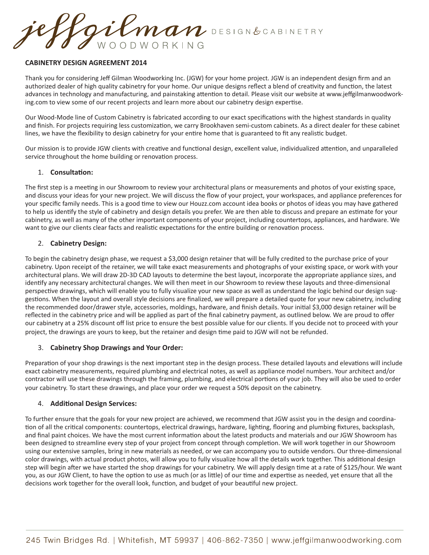Gilman DESIGN&CABINETRY WOODWORKING

## **CABINETRY DESIGN AGREEMENT 2014**

Thank you for considering Jeff Gilman Woodworking Inc. (JGW) for your home project. JGW is an independent design firm and an authorized dealer of high quality cabinetry for your home. Our unique designs reflect a blend of creativity and function, the latest advances in technology and manufacturing, and painstaking attention to detail. Please visit our website at www.jeffgilmanwoodworking.com to view some of our recent projects and learn more about our cabinetry design expertise.

Our Wood-Mode line of Custom Cabinetry is fabricated according to our exact specifications with the highest standards in quality and finish. For projects requiring less customization, we carry Brookhaven semi-custom cabinets. As a direct dealer for these cabinet lines, we have the flexibility to design cabinetry for your entire home that is guaranteed to fit any realistic budget.

Our mission is to provide JGW clients with creative and functional design, excellent value, individualized attention, and unparalleled service throughout the home building or renovation process.

### 1. **Consultation:**

The first step is a meeting in our Showroom to review your architectural plans or measurements and photos of your existing space, and discuss your ideas for your new project. We will discuss the flow of your project, your workspaces, and appliance preferences for your specific family needs. This is a good time to view our Houzz.com account idea books or photos of ideas you may have gathered to help us identify the style of cabinetry and design details you prefer. We are then able to discuss and prepare an estimate for your cabinetry, as well as many of the other important components of your project, including countertops, appliances, and hardware. We want to give our clients clear facts and realistic expectations for the entire building or renovation process.

# 2. **Cabinetry Design:**

To begin the cabinetry design phase, we request a \$3,000 design retainer that will be fully credited to the purchase price of your cabinetry. Upon receipt of the retainer, we will take exact measurements and photographs of your existing space, or work with your architectural plans. We will draw 2D-3D CAD layouts to determine the best layout, incorporate the appropriate appliance sizes, and identify any necessary architectural changes. We will then meet in our Showroom to review these layouts and three-dimensional perspective drawings, which will enable you to fully visualize your new space as well as understand the logic behind our design suggestions. When the layout and overall style decisions are finalized, we will prepare a detailed quote for your new cabinetry, including the recommended door/drawer style, accessories, moldings, hardware, and finish details. Your initial \$3,000 design retainer will be reflected in the cabinetry price and will be applied as part of the final cabinetry payment, as outlined below. We are proud to offer our cabinetry at a 25% discount off list price to ensure the best possible value for our clients. If you decide not to proceed with your project, the drawings are yours to keep, but the retainer and design time paid to JGW will not be refunded.

### 3. **Cabinetry Shop Drawings and Your Order:**

Preparation of your shop drawings is the next important step in the design process. These detailed layouts and elevations will include exact cabinetry measurements, required plumbing and electrical notes, as well as appliance model numbers. Your architect and/or contractor will use these drawings through the framing, plumbing, and electrical portions of your job. They will also be used to order your cabinetry. To start these drawings, and place your order we request a 50% deposit on the cabinetry.

### 4. **Additional Design Services:**

To further ensure that the goals for your new project are achieved, we recommend that JGW assist you in the design and coordination of all the critical components: countertops, electrical drawings, hardware, lighting, flooring and plumbing fixtures, backsplash, and final paint choices. We have the most current information about the latest products and materials and our JGW Showroom has been designed to streamline every step of your project from concept through completion. We will work together in our Showroom using our extensive samples, bring in new materials as needed, or we can accompany you to outside vendors. Our three-dimensional color drawings, with actual product photos, will allow you to fully visualize how all the details work together. This additional design step will begin after we have started the shop drawings for your cabinetry. We will apply design time at a rate of \$125/hour. We want you, as our JGW Client, to have the option to use as much (or as little) of our time and expertise as needed, yet ensure that all the decisions work together for the overall look, function, and budget of your beautiful new project.